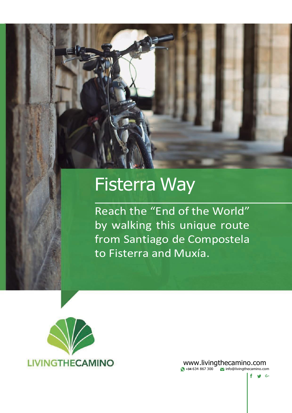# Fisterra Way

Reach the "End of the World" by walking this unique route from Santiago de Compostela to Fisterra and Muxía.



[www.livingthecamino.com](http://www.livingthecamino.com/) **434 634 867 300 10 [info@livingthecamino.com](mailto:info@livingthecamino.com)** 

 $f \circ g$  G+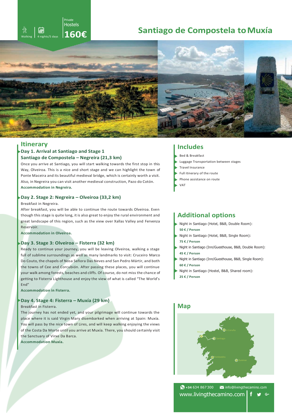# **Walking to a night suppostela to Muxía**<br>Anights/5 days **160€ Santiago de Compostela to Muxía**



# **Itinerary Includes Day 1. Arrival at Santiago and Stage 1 Santiago de Compostela – Negreira (21,3 km)**

Private Hostels

Once you arrive at Santiago, you will start walking towards the first stop in this Way, Olveiroa. This is a nice and short stage and we can highlight the town of Ponte Maceira and its beautiful medieval bridge, which is certainly worth a visit. Also, in Negreira you can visit another medieval construction, Pazo do Cotón. **Accommodation in Negreira.**

# **Day 2. Stage 2: Negreira – Olveiroa (33,2 km)**

Breakfast in Negreira.

After breakfast, you will be able to continue the route towards Olveiroa. Even though this stage is quite long, it is also great to enjoy the rural environment and great landscape of this region, such as the view over Xallas Valley and Fervenza Reservoir.

**Accommodation in Olveiroa.**

# **Day 3. Stage 3: Olveiroa – Fisterra (32 km)**

Ready to continue your journey, you will be leaving Olveiroa, walking a stage full of sublime surroundings as well as many landmarks to visit: Cruceiro Marco Do Couto, the chapels of Nosa Señora Das Neves and San Pedro Mártir, and both the towns of Cee and Corcubión. After passing these places, you will continue your walk among forests, beaches and cliffs. Of course, do not miss the chance of getting to Fisterra Lighthouse and enjoy the view of what is called "The World's End"

**Accommodation in Fisterra.**

# **Day 4. Stage 4: Fisterra – Muxía (29 km)**

Breakfast in Fisterra.

The journey has not ended yet, and your pilgrimage will continue towards the place where it is said Virgin Mary disembarked when arriving at Spain: Muxía. You will pass by the nice town of Lires, and will keep walking enjoying the views of the Costa Da Morte until you arrive at Muxía. There, you should certainly visit the Sanctuary of Virxe Da Barca.

**Accommodation Muxía.**

- Bed & Breakfast
- Luggage Transportation between stages
- Travel Insurance
- Full itinerary of the route
- Phone assistance on route
- VAT

# **Additional options**

- Night in Santiago (Hotel, B&B, Double Room): **50 € / Person**
- Night in Santiago (Hotel, B&B, Single Room): **75 € / Person**
- Night in Santiago (Inn/Guesthouse, B&B, Double Room): **45 € / Person**
- Night in Santiago (Inn/Guesthouse, B&B, Single Room): **60 € / Person**
- Night in Santiago (Hostel, B&B, Shared room):
- **25 € / Person**

# **Map**



**+34** 634 867 300 [info@livingthecamino.com](mailto:info@livingthecamino.com) [www.livingthecamino.com](http://www.livingthecamino.com/) $f \circ g$  G+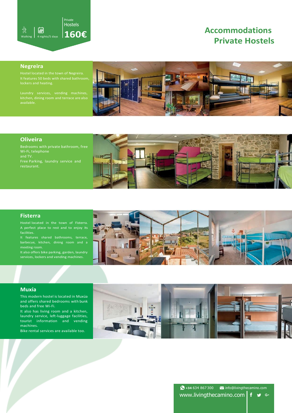

# **Private Hostels Accommodations**

# **Negreira**

kitchen, dining room and terrace are also



# **Oliveira**

Wi-Fi, telephone and TV. Free Parking, laundry service and



# **Fisterra**

A perfect place to rest and to enjoy its

barbecue, kitchen, dining room and a meeting room.

It also offers bike parking, garden, laundry services, lockers and vending machines.



# **Muxía**

This modern hostel is located in Muxúa and offers shared bedrooms with bunk beds and free Wi-Fi.

It also has living room and a kitchen, laundry service, left-luggage facilities, tourist information and vending machines.

Bike rental services are available too.



**◆ +34 634 867 300 ■** [info@livingthecamino.com](mailto:info@livingthecamino.com) [www.livingthecamino.com](http://www.livingthecamino.com/)  $\bigcup_{i=1}^n G_i$ f